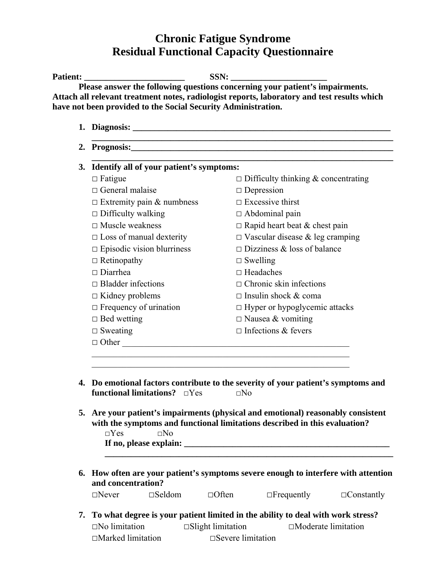## **Chronic Fatigue Syndrome Residual Functional Capacity Questionnaire**

| 3. | Identify all of your patient's symptoms:                                                                                                                                                                                                                                                                |                                                                                                      |  |  |  |
|----|---------------------------------------------------------------------------------------------------------------------------------------------------------------------------------------------------------------------------------------------------------------------------------------------------------|------------------------------------------------------------------------------------------------------|--|--|--|
|    | $\Box$ Fatigue                                                                                                                                                                                                                                                                                          | $\Box$ Difficulty thinking & concentrating                                                           |  |  |  |
|    | $\Box$ General malaise                                                                                                                                                                                                                                                                                  | $\Box$ Depression                                                                                    |  |  |  |
|    | $\Box$ Extremity pain & numbness                                                                                                                                                                                                                                                                        | $\Box$ Excessive thirst                                                                              |  |  |  |
|    | $\Box$ Difficulty walking                                                                                                                                                                                                                                                                               | $\Box$ Abdominal pain                                                                                |  |  |  |
|    | $\Box$ Muscle weakness                                                                                                                                                                                                                                                                                  | $\Box$ Rapid heart beat & chest pain                                                                 |  |  |  |
|    | $\Box$ Loss of manual dexterity                                                                                                                                                                                                                                                                         | $\Box$ Vascular disease & leg cramping                                                               |  |  |  |
|    | $\square$ Episodic vision blurriness                                                                                                                                                                                                                                                                    | $\Box$ Dizziness & loss of balance                                                                   |  |  |  |
|    | $\Box$ Retinopathy                                                                                                                                                                                                                                                                                      | $\Box$ Swelling<br>$\Box$ Headaches<br>$\Box$ Chronic skin infections<br>$\Box$ Insulin shock & coma |  |  |  |
|    | $\Box$ Diarrhea                                                                                                                                                                                                                                                                                         |                                                                                                      |  |  |  |
|    | $\Box$ Bladder infections                                                                                                                                                                                                                                                                               |                                                                                                      |  |  |  |
| 4. | $\Box$ Kidney problems                                                                                                                                                                                                                                                                                  |                                                                                                      |  |  |  |
|    | $\Box$ Frequency of urination                                                                                                                                                                                                                                                                           | $\Box$ Hyper or hypoglycemic attacks                                                                 |  |  |  |
|    | $\Box$ Bed wetting                                                                                                                                                                                                                                                                                      | $\Box$ Nausea & vomiting                                                                             |  |  |  |
|    | $\Box$ Sweating                                                                                                                                                                                                                                                                                         | $\Box$ Infections & fevers                                                                           |  |  |  |
|    | $\Box$ Other                                                                                                                                                                                                                                                                                            |                                                                                                      |  |  |  |
|    | Do emotional factors contribute to the severity of your patient's symptoms and<br><b>functional limitations?</b> $\Box$ Yes $\Box$ No<br>5. Are your patient's impairments (physical and emotional) reasonably consistent<br>with the symptoms and functional limitations described in this evaluation? |                                                                                                      |  |  |  |
|    | $\square$ No<br>$\Box$ Yes                                                                                                                                                                                                                                                                              |                                                                                                      |  |  |  |
|    |                                                                                                                                                                                                                                                                                                         | 6. How often are your patient's symptoms severe enough to interfere with attention                   |  |  |  |
|    | and concentration?                                                                                                                                                                                                                                                                                      |                                                                                                      |  |  |  |